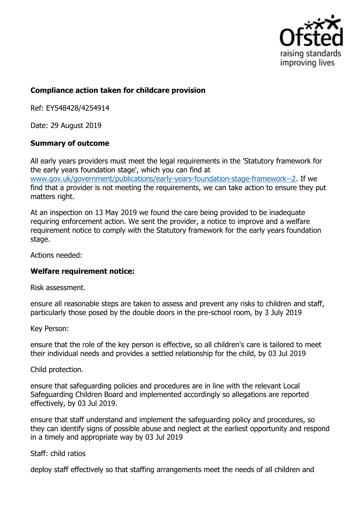

## **Compliance action taken for childcare provision**

Ref: EY548428/4254914

Date: 29 August 2019

## **Summary of outcome**

All early years providers must meet the legal requirements in the 'Statutory framework for the early years foundation stage', which you can find at www.gov.uk/government/publications/early-years-foundation-stage-framework--2. If we find that a provider is not meeting the requirements, we can take action to ensure they put matters right.

At an inspection on 13 May 2019 we found the care being provided to be inadequate requiring enforcement action. We sent the provider, a notice to improve and a welfare requirement notice to comply with the Statutory framework for the early years foundation stage.

Actions needed:

## **Welfare requirement notice:**

Risk assessment.

ensure all reasonable steps are taken to assess and prevent any risks to children and staff, particularly those posed by the double doors in the pre-school room, by 3 July 2019

Key Person:

ensure that the role of the key person is effective, so all children's care is tailored to meet their individual needs and provides a settled relationship for the child, by 03 Jul 2019

Child protection.

ensure that safeguarding policies and procedures are in line with the relevant Local Safeguarding Children Board and implemented accordingly so allegations are reported effectively, by 03 Jul 2019.

ensure that staff understand and implement the safeguarding policy and procedures, so they can identify signs of possible abuse and neglect at the earliest opportunity and respond in a timely and appropriate way by 03 Jul 2019

Staff: child ratios

deploy staff effectively so that staffing arrangements meet the needs of all children and